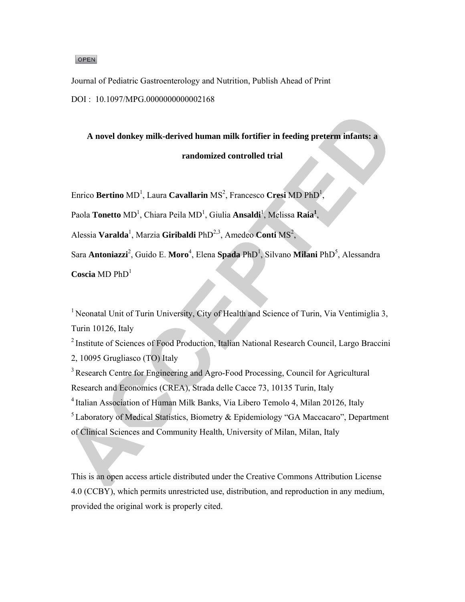#### OPEN

Journal of Pediatric Gastroenterology and Nutrition, Publish Ahead of Print DOI: 10.1097/MPG.0000000000002168

A novel donkey milk-derived human milk fortifier in feeding preterm infants: a

# randomized controlled trial

Enrico Bertino MD<sup>1</sup>, Laura Cavallarin MS<sup>2</sup>, Francesco Cresi MD PhD<sup>1</sup>,

Paola Tonetto MD<sup>1</sup>. Chiara Peila MD<sup>1</sup>. Giulia Ansaldi<sup>1</sup>. Melissa Raia<sup>1</sup>.

Alessia Varalda<sup>1</sup>, Marzia Giribaldi PhD<sup>2,3</sup>, Amedeo Conti MS<sup>2</sup>,

Sara Antoniazzi<sup>2</sup>, Guido E. Moro<sup>4</sup>, Elena Spada PhD<sup>1</sup>, Silvano Milani PhD<sup>5</sup>, Alessandra

Coscia MD  $PhD<sup>1</sup>$ 

<sup>1</sup> Neonatal Unit of Turin University, City of Health and Science of Turin, Via Ventimiglia 3, Turin 10126, Italy

<sup>2</sup> Institute of Sciences of Food Production, Italian National Research Council, Largo Braccini 2, 10095 Grugliasco (TO) Italy

<sup>3</sup> Research Centre for Engineering and Agro-Food Processing, Council for Agricultural Research and Economics (CREA), Strada delle Cacce 73, 10135 Turin, Italy <sup>4</sup> Italian Association of Human Milk Banks, Via Libero Temolo 4, Milan 20126, Italy <sup>5</sup> Laboratory of Medical Statistics, Biometry & Epidemiology "GA Maccacaro", Department of Clinical Sciences and Community Health, University of Milan, Milan, Italy

This is an open access article distributed under the Creative Commons Attribution License 4.0 (CCBY), which permits unrestricted use, distribution, and reproduction in any medium, provided the original work is properly cited.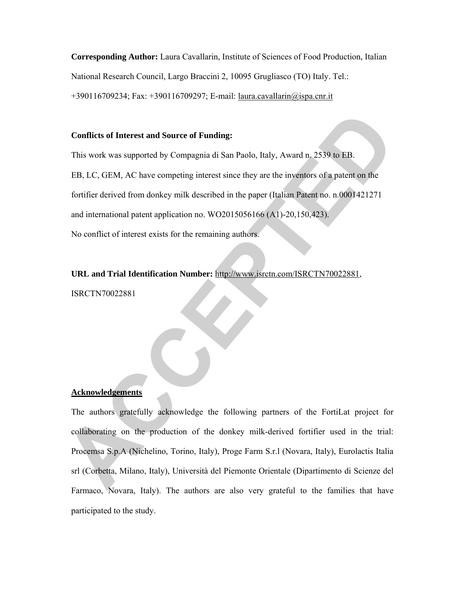**Corresponding Author:** Laura Cavallarin, Institute of Sciences of Food Production, Italian National Research Council, Largo Braccini 2, 10095 Grugliasco (TO) Italy. Tel.: +390116709234; Fax: +390116709297; E-mail: laura.cavallarin@ispa.cnr.it

## **Conflicts of Interest and Source of Funding:**

This work was supported by Compagnia di San Paolo, Italy, Award n. 2539 to EB. EB, LC, GEM, AC have competing interest since they are the inventors of a patent on the fortifier derived from donkey milk described in the paper (Italian Patent no. n.0001421271 and international patent application no. WO2015056166 (A1)-20,150,423). No conflict of interest exists for the remaining authors.

**URL and Trial Identification Number:** http://www.isrctn.com/ISRCTN70022881, ISRCTN70022881

## **Acknowledgements**

The authors gratefully acknowledge the following partners of the FortiLat project for collaborating on the production of the donkey milk-derived fortifier used in the trial: Procemsa S.p.A (Nichelino, Torino, Italy), Proge Farm S.r.l (Novara, Italy), Eurolactis Italia srl (Corbetta, Milano, Italy), Università del Piemonte Orientale (Dipartimento di Scienze del Farmaco, Novara, Italy). The authors are also very grateful to the families that have participated to the study.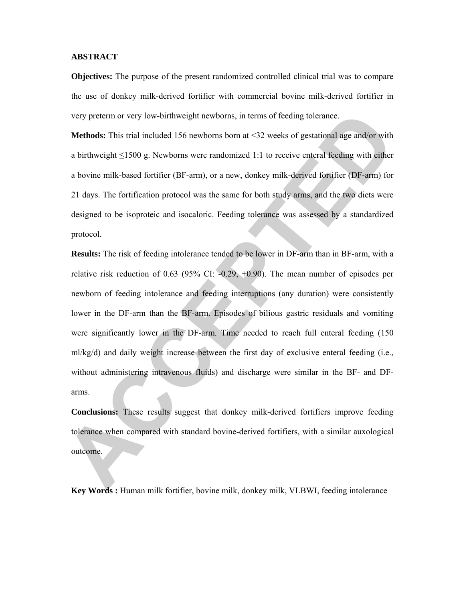#### **ABSTRACT**

**Objectives:** The purpose of the present randomized controlled clinical trial was to compare the use of donkey milk-derived fortifier with commercial bovine milk-derived fortifier in very preterm or very low-birthweight newborns, in terms of feeding tolerance.

**Methods:** This trial included 156 newborns born at <32 weeks of gestational age and/or with a birthweight ≤1500 g. Newborns were randomized 1:1 to receive enteral feeding with either a bovine milk-based fortifier (BF-arm), or a new, donkey milk-derived fortifier (DF-arm) for 21 days. The fortification protocol was the same for both study arms, and the two diets were designed to be isoproteic and isocaloric. Feeding tolerance was assessed by a standardized protocol.

**Results:** The risk of feeding intolerance tended to be lower in DF-arm than in BF-arm, with a relative risk reduction of 0.63 (95% CI:  $-0.29$ ,  $+0.90$ ). The mean number of episodes per newborn of feeding intolerance and feeding interruptions (any duration) were consistently lower in the DF-arm than the BF-arm. Episodes of bilious gastric residuals and vomiting were significantly lower in the DF-arm. Time needed to reach full enteral feeding (150 ml/kg/d) and daily weight increase between the first day of exclusive enteral feeding (i.e., without administering intravenous fluids) and discharge were similar in the BF- and DFarms.

**Conclusions:** These results suggest that donkey milk-derived fortifiers improve feeding tolerance when compared with standard bovine-derived fortifiers, with a similar auxological outcome.

**Key Words :** Human milk fortifier, bovine milk, donkey milk, VLBWI, feeding intolerance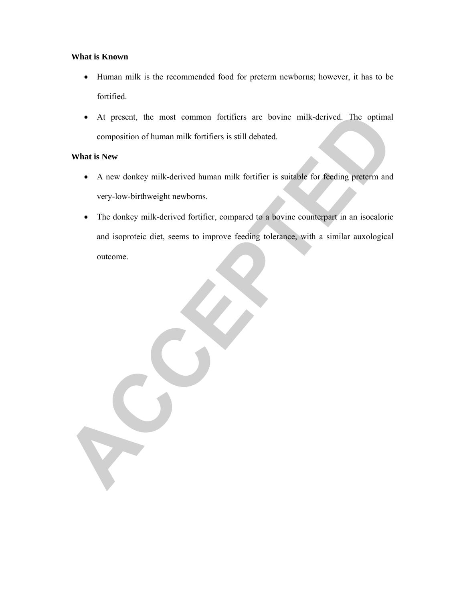# **What is Known**

- Human milk is the recommended food for preterm newborns; however, it has to be fortified.
- At present, the most common fortifiers are bovine milk-derived. The optimal composition of human milk fortifiers is still debated.

# **What is New**

- A new donkey milk-derived human milk fortifier is suitable for feeding preterm and very-low-birthweight newborns.
- The donkey milk-derived fortifier, compared to a bovine counterpart in an isocaloric and isoproteic diet, seems to improve feeding tolerance, with a similar auxological outcome.

X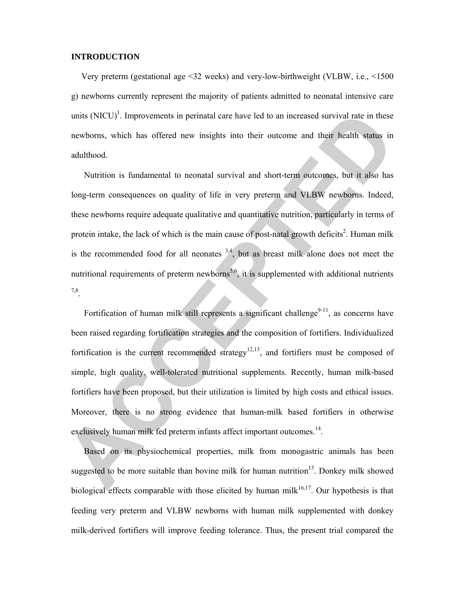#### **INTRODUCTION**

Very preterm (gestational age <32 weeks) and very-low-birthweight (VLBW, i.e., <1500 g) newborns currently represent the majority of patients admitted to neonatal intensive care units  $(NICU)^1$ . Improvements in perinatal care have led to an increased survival rate in these newborns, which has offered new insights into their outcome and their health status in adulthood.

Nutrition is fundamental to neonatal survival and short-term outcomes, but it also has long-term consequences on quality of life in very preterm and VLBW newborns. Indeed, these newborns require adequate qualitative and quantitative nutrition, particularly in terms of protein intake, the lack of which is the main cause of post-natal growth deficits<sup>2</sup>. Human milk is the recommended food for all neonates  $3,4$ , but as breast milk alone does not meet the nutritional requirements of preterm newborns<sup>5,6</sup>, it is supplemented with additional nutrients 7,8.

Fortification of human milk still represents a significant challenge $9-11$ , as concerns have been raised regarding fortification strategies and the composition of fortifiers. Individualized fortification is the current recommended strategy<sup>12,13</sup>, and fortifiers must be composed of simple, high quality, well-tolerated nutritional supplements. Recently, human milk-based fortifiers have been proposed, but their utilization is limited by high costs and ethical issues. Moreover, there is no strong evidence that human-milk based fortifiers in otherwise exclusively human milk fed preterm infants affect important outcomes.<sup>14</sup>.

Based on its physiochemical properties, milk from monogastric animals has been suggested to be more suitable than bovine milk for human nutrition<sup>15</sup>. Donkey milk showed biological effects comparable with those elicited by human mil $k^{16,17}$ . Our hypothesis is that feeding very preterm and VLBW newborns with human milk supplemented with donkey milk-derived fortifiers will improve feeding tolerance. Thus, the present trial compared the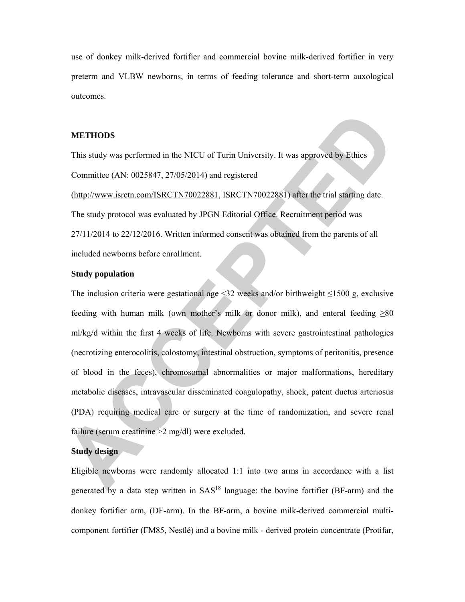use of donkey milk-derived fortifier and commercial bovine milk-derived fortifier in very preterm and VLBW newborns, in terms of feeding tolerance and short-term auxological outcomes.

## **METHODS**

This study was performed in the NICU of Turin University. It was approved by Ethics Committee (AN: 0025847, 27/05/2014) and registered

(http://www.isrctn.com/ISRCTN70022881, ISRCTN70022881) after the trial starting date. The study protocol was evaluated by JPGN Editorial Office. Recruitment period was 27/11/2014 to 22/12/2016. Written informed consent was obtained from the parents of all included newborns before enrollment.

## **Study population**

The inclusion criteria were gestational age  $\leq 32$  weeks and/or birthweight  $\leq 1500$  g, exclusive feeding with human milk (own mother's milk or donor milk), and enteral feeding  $\geq 80$ ml/kg/d within the first 4 weeks of life. Newborns with severe gastrointestinal pathologies (necrotizing enterocolitis, colostomy, intestinal obstruction, symptoms of peritonitis, presence of blood in the feces), chromosomal abnormalities or major malformations, hereditary metabolic diseases, intravascular disseminated coagulopathy, shock, patent ductus arteriosus (PDA) requiring medical care or surgery at the time of randomization, and severe renal failure (serum creatinine > 2 mg/dl) were excluded.

# **Study design**

Eligible newborns were randomly allocated 1:1 into two arms in accordance with a list generated by a data step written in  $SAS<sup>18</sup>$  language: the bovine fortifier (BF-arm) and the donkey fortifier arm, (DF-arm). In the BF-arm, a bovine milk-derived commercial multicomponent fortifier (FM85, Nestlé) and a bovine milk - derived protein concentrate (Protifar,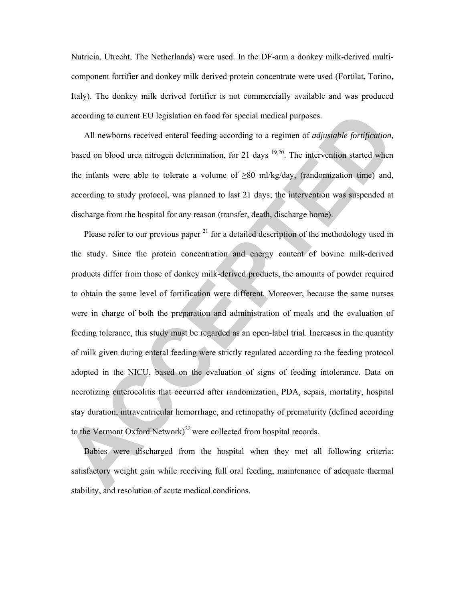Nutricia, Utrecht, The Netherlands) were used. In the DF-arm a donkey milk-derived multicomponent fortifier and donkey milk derived protein concentrate were used (Fortilat, Torino, Italy). The donkey milk derived fortifier is not commercially available and was produced according to current EU legislation on food for special medical purposes.

All newborns received enteral feeding according to a regimen of *adjustable fortification*, based on blood urea nitrogen determination, for 21 days  $19,20$ . The intervention started when the infants were able to tolerate a volume of  $\geq 80$  ml/kg/day, (randomization time) and, according to study protocol, was planned to last 21 days; the intervention was suspended at discharge from the hospital for any reason (transfer, death, discharge home).

Please refer to our previous paper  $2<sup>1</sup>$  for a detailed description of the methodology used in the study. Since the protein concentration and energy content of bovine milk-derived products differ from those of donkey milk-derived products, the amounts of powder required to obtain the same level of fortification were different. Moreover, because the same nurses were in charge of both the preparation and administration of meals and the evaluation of feeding tolerance, this study must be regarded as an open-label trial. Increases in the quantity of milk given during enteral feeding were strictly regulated according to the feeding protocol adopted in the NICU, based on the evaluation of signs of feeding intolerance. Data on necrotizing enterocolitis that occurred after randomization, PDA, sepsis, mortality, hospital stay duration, intraventricular hemorrhage, and retinopathy of prematurity (defined according to the Vermont Oxford Network)<sup>22</sup> were collected from hospital records.

Babies were discharged from the hospital when they met all following criteria: satisfactory weight gain while receiving full oral feeding, maintenance of adequate thermal stability, and resolution of acute medical conditions.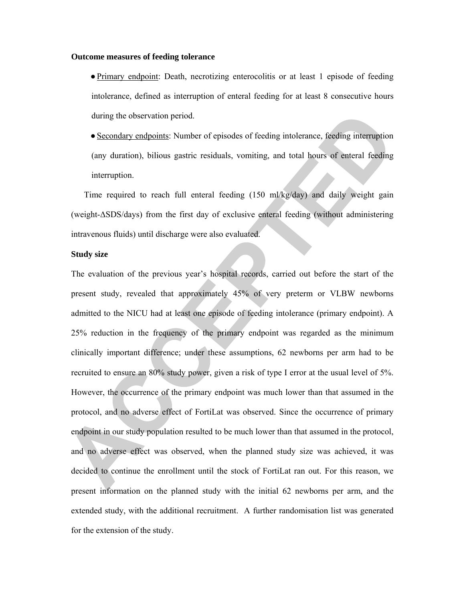#### **Outcome measures of feeding tolerance**

- **●**Primary endpoint: Death, necrotizing enterocolitis or at least 1 episode of feeding intolerance, defined as interruption of enteral feeding for at least 8 consecutive hours during the observation period.
- **●**Secondary endpoints: Number of episodes of feeding intolerance, feeding interruption (any duration), bilious gastric residuals, vomiting, and total hours of enteral feeding interruption.

Time required to reach full enteral feeding (150 ml/kg/day) and daily weight gain (weight-ΔSDS/days) from the first day of exclusive enteral feeding (without administering intravenous fluids) until discharge were also evaluated.

#### **Study size**

The evaluation of the previous year's hospital records, carried out before the start of the present study, revealed that approximately 45% of very preterm or VLBW newborns admitted to the NICU had at least one episode of feeding intolerance (primary endpoint). A 25% reduction in the frequency of the primary endpoint was regarded as the minimum clinically important difference; under these assumptions, 62 newborns per arm had to be recruited to ensure an 80% study power, given a risk of type I error at the usual level of 5%. However, the occurrence of the primary endpoint was much lower than that assumed in the protocol, and no adverse effect of FortiLat was observed. Since the occurrence of primary endpoint in our study population resulted to be much lower than that assumed in the protocol, and no adverse effect was observed, when the planned study size was achieved, it was decided to continue the enrollment until the stock of FortiLat ran out. For this reason, we present information on the planned study with the initial 62 newborns per arm, and the extended study, with the additional recruitment. A further randomisation list was generated for the extension of the study.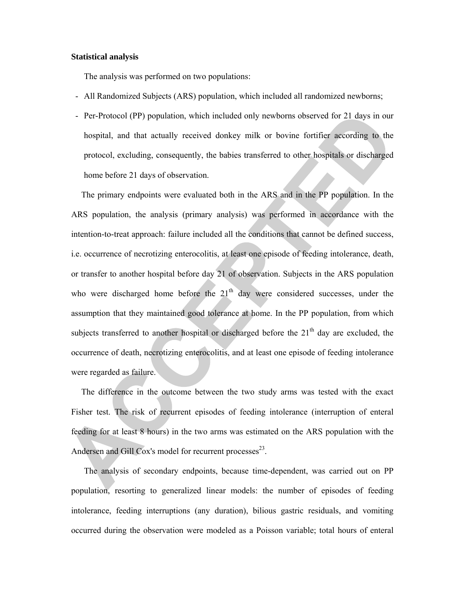#### **Statistical analysis**

The analysis was performed on two populations:

- All Randomized Subjects (ARS) population, which included all randomized newborns;
- Per-Protocol (PP) population, which included only newborns observed for 21 days in our hospital, and that actually received donkey milk or bovine fortifier according to the protocol, excluding, consequently, the babies transferred to other hospitals or discharged home before 21 days of observation.

The primary endpoints were evaluated both in the ARS and in the PP population. In the ARS population, the analysis (primary analysis) was performed in accordance with the intention-to-treat approach: failure included all the conditions that cannot be defined success, i.e. occurrence of necrotizing enterocolitis, at least one episode of feeding intolerance, death, or transfer to another hospital before day 21 of observation. Subjects in the ARS population who were discharged home before the 21<sup>th</sup> day were considered successes, under the assumption that they maintained good tolerance at home. In the PP population, from which subjects transferred to another hospital or discharged before the  $21<sup>th</sup>$  day are excluded, the occurrence of death, necrotizing enterocolitis, and at least one episode of feeding intolerance were regarded as failure.

The difference in the outcome between the two study arms was tested with the exact Fisher test. The risk of recurrent episodes of feeding intolerance (interruption of enteral feeding for at least 8 hours) in the two arms was estimated on the ARS population with the Andersen and Gill Cox's model for recurrent processes $^{23}$ .

The analysis of secondary endpoints, because time-dependent, was carried out on PP population, resorting to generalized linear models: the number of episodes of feeding intolerance, feeding interruptions (any duration), bilious gastric residuals, and vomiting occurred during the observation were modeled as a Poisson variable; total hours of enteral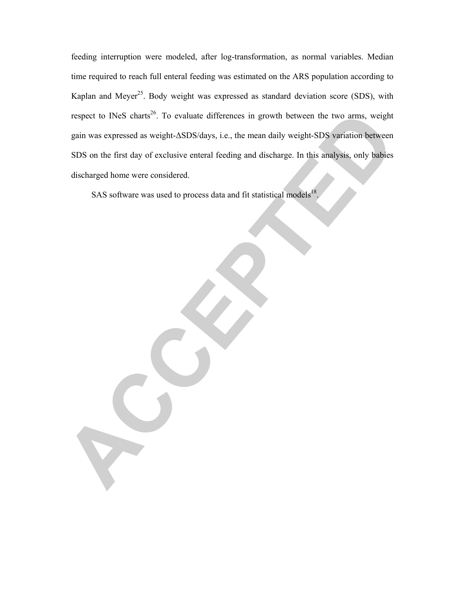feeding interruption were modeled, after log-transformation, as normal variables. Median time required to reach full enteral feeding was estimated on the ARS population according to Kaplan and Meyer<sup>25</sup>. Body weight was expressed as standard deviation score (SDS), with respect to INeS charts<sup>26</sup>. To evaluate differences in growth between the two arms, weight gain was expressed as weight-ΔSDS/days, i.e., the mean daily weight-SDS variation between SDS on the first day of exclusive enteral feeding and discharge. In this analysis, only babies discharged home were considered.

SAS software was used to process data and fit statistical models<sup>18</sup>.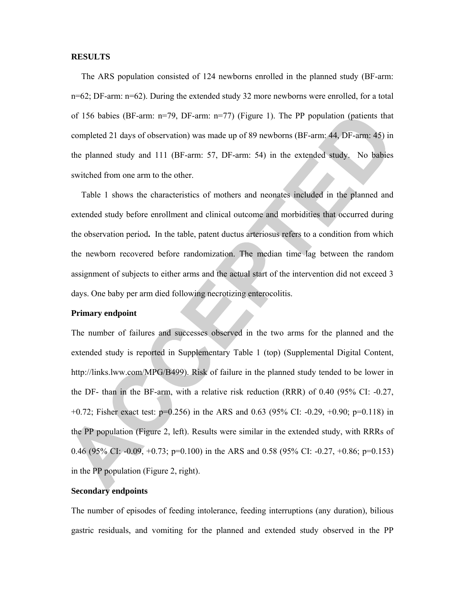#### **RESULTS**

The ARS population consisted of 124 newborns enrolled in the planned study (BF-arm: n=62; DF-arm: n=62). During the extended study 32 more newborns were enrolled, for a total of 156 babies (BF-arm: n=79, DF-arm: n=77) (Figure 1). The PP population (patients that completed 21 days of observation) was made up of 89 newborns (BF-arm: 44, DF-arm: 45) in the planned study and 111 (BF-arm: 57, DF-arm: 54) in the extended study. No babies switched from one arm to the other.

Table 1 shows the characteristics of mothers and neonates included in the planned and extended study before enrollment and clinical outcome and morbidities that occurred during the observation period**.** In the table, patent ductus arteriosus refers to a condition from which the newborn recovered before randomization. The median time lag between the random assignment of subjects to either arms and the actual start of the intervention did not exceed 3 days. One baby per arm died following necrotizing enterocolitis.

## **Primary endpoint**

The number of failures and successes observed in the two arms for the planned and the extended study is reported in Supplementary Table 1 (top) (Supplemental Digital Content, http://links.lww.com/MPG/B499). Risk of failure in the planned study tended to be lower in the DF- than in the BF-arm, with a relative risk reduction (RRR) of 0.40 (95% CI: -0.27, +0.72; Fisher exact test: p=0.256) in the ARS and 0.63 (95% CI: -0.29, +0.90; p=0.118) in the PP population (Figure 2, left). Results were similar in the extended study, with RRRs of 0.46 (95% CI: -0.09, +0.73; p=0.100) in the ARS and 0.58 (95% CI: -0.27, +0.86; p=0.153) in the PP population (Figure 2, right).

# **Secondary endpoints**

The number of episodes of feeding intolerance, feeding interruptions (any duration), bilious gastric residuals, and vomiting for the planned and extended study observed in the PP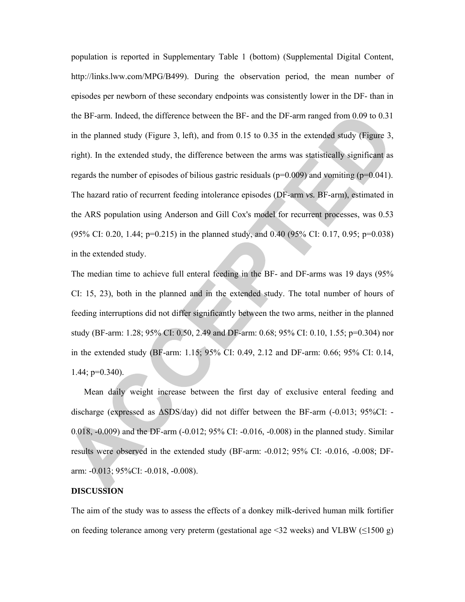population is reported in Supplementary Table 1 (bottom) (Supplemental Digital Content, http://links.lww.com/MPG/B499). During the observation period, the mean number of episodes per newborn of these secondary endpoints was consistently lower in the DF- than in the BF-arm. Indeed, the difference between the BF- and the DF-arm ranged from 0.09 to 0.31 in the planned study (Figure 3, left), and from  $0.15$  to  $0.35$  in the extended study (Figure 3, right). In the extended study, the difference between the arms was statistically significant as regards the number of episodes of bilious gastric residuals ( $p=0.009$ ) and vomiting ( $p=0.041$ ). The hazard ratio of recurrent feeding intolerance episodes (DF-arm *vs.* BF-arm), estimated in the ARS population using Anderson and Gill Cox's model for recurrent processes, was 0.53 (95% CI: 0.20, 1.44; p=0.215) in the planned study, and 0.40 (95% CI: 0.17, 0.95; p=0.038) in the extended study.

The median time to achieve full enteral feeding in the BF- and DF-arms was 19 days (95% CI: 15, 23), both in the planned and in the extended study. The total number of hours of feeding interruptions did not differ significantly between the two arms, neither in the planned study (BF-arm: 1.28; 95% CI: 0.50, 2.49 and DF-arm: 0.68; 95% CI: 0.10, 1.55; p=0.304) nor in the extended study (BF-arm: 1.15; 95% CI: 0.49, 2.12 and DF-arm: 0.66; 95% CI: 0.14, 1.44; p=0.340).

Mean daily weight increase between the first day of exclusive enteral feeding and discharge (expressed as ΔSDS/day) did not differ between the BF-arm (-0.013; 95%CI: - 0.018, -0.009) and the DF-arm (-0.012; 95% CI: -0.016, -0.008) in the planned study. Similar results were observed in the extended study (BF-arm: -0.012; 95% CI: -0.016, -0.008; DFarm: -0.013; 95%CI: -0.018, -0.008).

## **DISCUSSION**

The aim of the study was to assess the effects of a donkey milk-derived human milk fortifier on feeding tolerance among very preterm (gestational age <32 weeks) and VLBW ( $\leq$ 1500 g)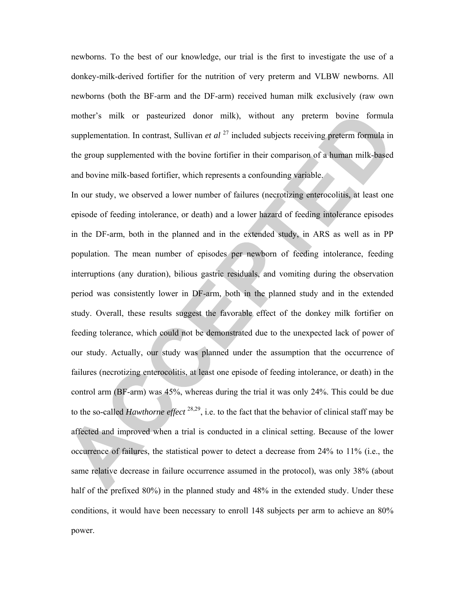newborns. To the best of our knowledge, our trial is the first to investigate the use of a donkey-milk-derived fortifier for the nutrition of very preterm and VLBW newborns. All newborns (both the BF-arm and the DF-arm) received human milk exclusively (raw own mother's milk or pasteurized donor milk), without any preterm bovine formula supplementation. In contrast, Sullivan *et al* <sup>27</sup> included subjects receiving preterm formula in the group supplemented with the bovine fortifier in their comparison of a human milk-based and bovine milk-based fortifier, which represents a confounding variable.

In our study, we observed a lower number of failures (necrotizing enterocolitis, at least one episode of feeding intolerance, or death) and a lower hazard of feeding intolerance episodes in the DF-arm, both in the planned and in the extended study, in ARS as well as in PP population. The mean number of episodes per newborn of feeding intolerance, feeding interruptions (any duration), bilious gastric residuals, and vomiting during the observation period was consistently lower in DF-arm, both in the planned study and in the extended study. Overall, these results suggest the favorable effect of the donkey milk fortifier on feeding tolerance, which could not be demonstrated due to the unexpected lack of power of our study. Actually, our study was planned under the assumption that the occurrence of failures (necrotizing enterocolitis, at least one episode of feeding intolerance, or death) in the control arm (BF-arm) was 45%, whereas during the trial it was only 24%. This could be due to the so-called *Hawthorne effect* 28,29, i.e. to the fact that the behavior of clinical staff may be affected and improved when a trial is conducted in a clinical setting. Because of the lower occurrence of failures, the statistical power to detect a decrease from 24% to 11% (i.e., the same relative decrease in failure occurrence assumed in the protocol), was only 38% (about half of the prefixed 80%) in the planned study and 48% in the extended study. Under these conditions, it would have been necessary to enroll 148 subjects per arm to achieve an 80% power.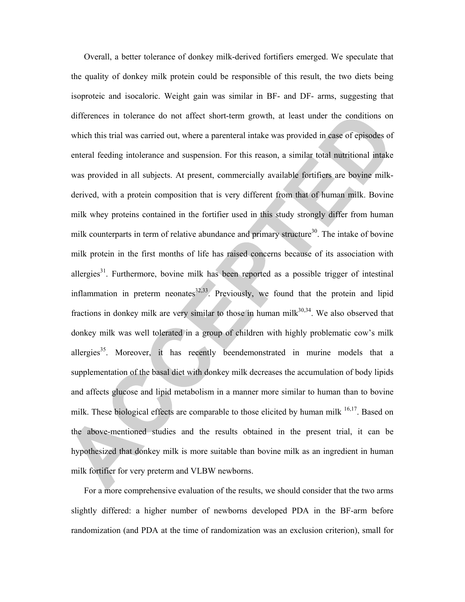Overall, a better tolerance of donkey milk-derived fortifiers emerged. We speculate that the quality of donkey milk protein could be responsible of this result, the two diets being isoproteic and isocaloric. Weight gain was similar in BF- and DF- arms, suggesting that differences in tolerance do not affect short-term growth, at least under the conditions on which this trial was carried out, where a parenteral intake was provided in case of episodes of enteral feeding intolerance and suspension. For this reason, a similar total nutritional intake was provided in all subjects. At present, commercially available fortifiers are bovine milkderived, with a protein composition that is very different from that of human milk. Bovine milk whey proteins contained in the fortifier used in this study strongly differ from human milk counterparts in term of relative abundance and primary structure<sup>30</sup>. The intake of bovine milk protein in the first months of life has raised concerns because of its association with allergies<sup>31</sup>. Furthermore, bovine milk has been reported as a possible trigger of intestinal inflammation in preterm neonates $32,33$ . Previously, we found that the protein and lipid fractions in donkey milk are very similar to those in human milk $30,34$ . We also observed that donkey milk was well tolerated in a group of children with highly problematic cow's milk allergies $35$ . Moreover, it has recently beendemonstrated in murine models that a supplementation of the basal diet with donkey milk decreases the accumulation of body lipids and affects glucose and lipid metabolism in a manner more similar to human than to bovine milk. These biological effects are comparable to those elicited by human milk <sup>16,17</sup>. Based on the above-mentioned studies and the results obtained in the present trial, it can be hypothesized that donkey milk is more suitable than bovine milk as an ingredient in human milk fortifier for very preterm and VLBW newborns.

For a more comprehensive evaluation of the results, we should consider that the two arms slightly differed: a higher number of newborns developed PDA in the BF-arm before randomization (and PDA at the time of randomization was an exclusion criterion), small for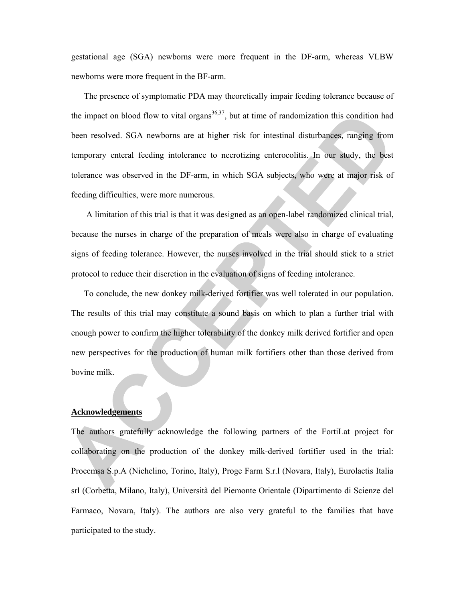gestational age (SGA) newborns were more frequent in the DF-arm, whereas VLBW newborns were more frequent in the BF-arm.

The presence of symptomatic PDA may theoretically impair feeding tolerance because of the impact on blood flow to vital organs<sup>36,37</sup>, but at time of randomization this condition had been resolved. SGA newborns are at higher risk for intestinal disturbances, ranging from temporary enteral feeding intolerance to necrotizing enterocolitis. In our study, the best tolerance was observed in the DF-arm, in which SGA subjects, who were at major risk of feeding difficulties, were more numerous.

A limitation of this trial is that it was designed as an open-label randomized clinical trial, because the nurses in charge of the preparation of meals were also in charge of evaluating signs of feeding tolerance. However, the nurses involved in the trial should stick to a strict protocol to reduce their discretion in the evaluation of signs of feeding intolerance.

To conclude, the new donkey milk-derived fortifier was well tolerated in our population. The results of this trial may constitute a sound basis on which to plan a further trial with enough power to confirm the higher tolerability of the donkey milk derived fortifier and open new perspectives for the production of human milk fortifiers other than those derived from bovine milk.

#### **Acknowledgements**

The authors gratefully acknowledge the following partners of the FortiLat project for collaborating on the production of the donkey milk-derived fortifier used in the trial: Procemsa S.p.A (Nichelino, Torino, Italy), Proge Farm S.r.l (Novara, Italy), Eurolactis Italia srl (Corbetta, Milano, Italy), Università del Piemonte Orientale (Dipartimento di Scienze del Farmaco, Novara, Italy). The authors are also very grateful to the families that have participated to the study.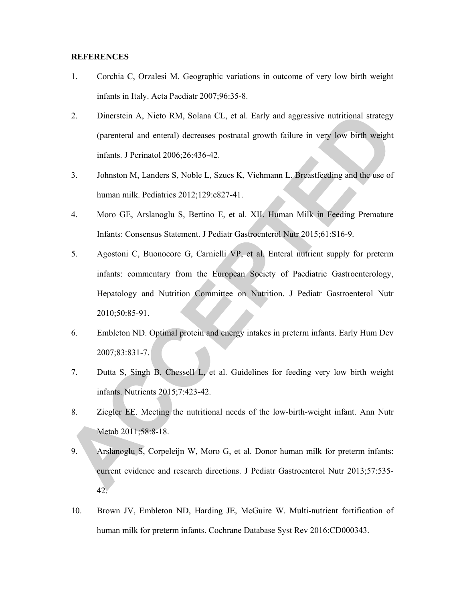#### **REFERENCES**

- 1. Corchia C, Orzalesi M. Geographic variations in outcome of very low birth weight infants in Italy. Acta Paediatr 2007;96:35-8.
- 2. Dinerstein A, Nieto RM, Solana CL, et al. Early and aggressive nutritional strategy (parenteral and enteral) decreases postnatal growth failure in very low birth weight infants. J Perinatol 2006;26:436-42.
- 3. Johnston M, Landers S, Noble L, Szucs K, Viehmann L. Breastfeeding and the use of human milk. Pediatrics 2012;129:e827-41.
- 4. Moro GE, Arslanoglu S, Bertino E, et al. XII. Human Milk in Feeding Premature Infants: Consensus Statement. J Pediatr Gastroenterol Nutr 2015;61:S16-9.
- 5. Agostoni C, Buonocore G, Carnielli VP, et al. Enteral nutrient supply for preterm infants: commentary from the European Society of Paediatric Gastroenterology, Hepatology and Nutrition Committee on Nutrition. J Pediatr Gastroenterol Nutr 2010;50:85-91.
- 6. Embleton ND. Optimal protein and energy intakes in preterm infants. Early Hum Dev 2007;83:831-7.
- 7. Dutta S, Singh B, Chessell L, et al. Guidelines for feeding very low birth weight infants. Nutrients 2015;7:423-42.
- 8. Ziegler EE. Meeting the nutritional needs of the low-birth-weight infant. Ann Nutr Metab 2011;58:8-18.
- 9. Arslanoglu S, Corpeleijn W, Moro G, et al. Donor human milk for preterm infants: current evidence and research directions. J Pediatr Gastroenterol Nutr 2013;57:535- 42.
- 10. Brown JV, Embleton ND, Harding JE, McGuire W. Multi-nutrient fortification of human milk for preterm infants. Cochrane Database Syst Rev 2016:CD000343.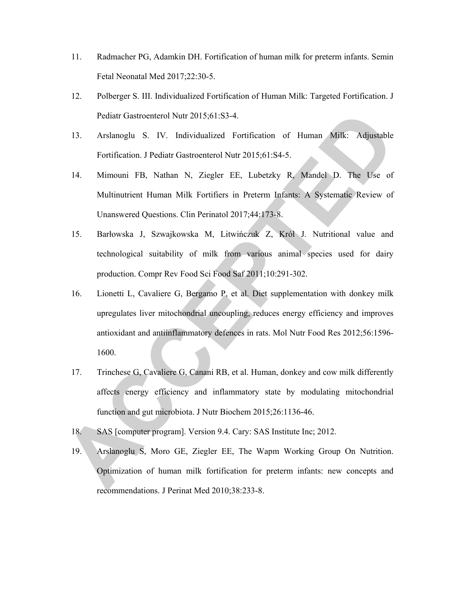- 11. Radmacher PG, Adamkin DH. Fortification of human milk for preterm infants. Semin Fetal Neonatal Med 2017;22:30-5.
- 12. Polberger S. III. Individualized Fortification of Human Milk: Targeted Fortification. J Pediatr Gastroenterol Nutr 2015;61:S3-4.
- 13. Arslanoglu S. IV. Individualized Fortification of Human Milk: Adjustable Fortification. J Pediatr Gastroenterol Nutr 2015;61:S4-5.
- 14. Mimouni FB, Nathan N, Ziegler EE, Lubetzky R, Mandel D. The Use of Multinutrient Human Milk Fortifiers in Preterm Infants: A Systematic Review of Unanswered Questions. Clin Perinatol 2017;44:173-8.
- 15. Barłowska J, Szwajkowska M, Litwińczuk Z, Król J. Nutritional value and technological suitability of milk from various animal species used for dairy production. Compr Rev Food Sci Food Saf 2011;10:291-302.
- 16. Lionetti L, Cavaliere G, Bergamo P, et al. Diet supplementation with donkey milk upregulates liver mitochondrial uncoupling, reduces energy efficiency and improves antioxidant and antiinflammatory defences in rats. Mol Nutr Food Res 2012;56:1596- 1600.
- 17. Trinchese G, Cavaliere G, Canani RB, et al. Human, donkey and cow milk differently affects energy efficiency and inflammatory state by modulating mitochondrial function and gut microbiota. J Nutr Biochem 2015;26:1136-46.
- 18. SAS [computer program]. Version 9.4. Cary: SAS Institute Inc; 2012.
- 19. Arslanoglu S, Moro GE, Ziegler EE, The Wapm Working Group On Nutrition. Optimization of human milk fortification for preterm infants: new concepts and recommendations. J Perinat Med 2010;38:233-8.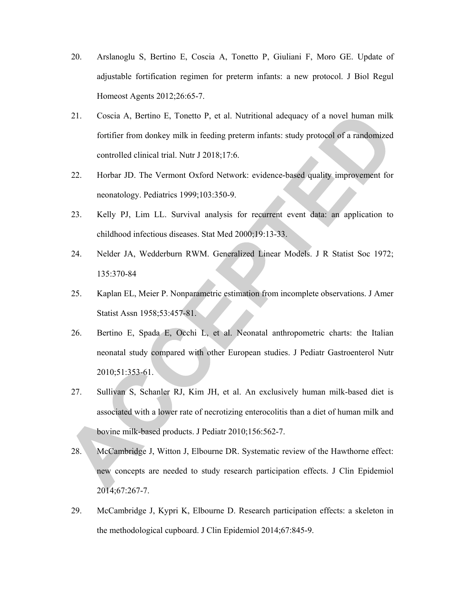- 20. Arslanoglu S, Bertino E, Coscia A, Tonetto P, Giuliani F, Moro GE. Update of adjustable fortification regimen for preterm infants: a new protocol. J Biol Regul Homeost Agents 2012;26:65-7.
- 21. Coscia A, Bertino E, Tonetto P, et al. Nutritional adequacy of a novel human milk fortifier from donkey milk in feeding preterm infants: study protocol of a randomized controlled clinical trial. Nutr J 2018;17:6.
- 22. Horbar JD. The Vermont Oxford Network: evidence-based quality improvement for neonatology. Pediatrics 1999;103:350-9.
- 23. Kelly PJ, Lim LL. Survival analysis for recurrent event data: an application to childhood infectious diseases. Stat Med 2000;19:13-33.
- 24. Nelder JA, Wedderburn RWM. Generalized Linear Models. J R Statist Soc 1972; 135:370-84
- 25. Kaplan EL, Meier P. Nonparametric estimation from incomplete observations. J Amer Statist Assn 1958;53:457-81.
- 26. Bertino E, Spada E, Occhi L, et al. Neonatal anthropometric charts: the Italian neonatal study compared with other European studies. J Pediatr Gastroenterol Nutr 2010;51:353-61.
- 27. Sullivan S, Schanler RJ, Kim JH, et al. An exclusively human milk-based diet is associated with a lower rate of necrotizing enterocolitis than a diet of human milk and bovine milk-based products. J Pediatr 2010;156:562-7.
- 28. McCambridge J, Witton J, Elbourne DR. Systematic review of the Hawthorne effect: new concepts are needed to study research participation effects. J Clin Epidemiol 2014;67:267-7.
- 29. McCambridge J, Kypri K, Elbourne D. Research participation effects: a skeleton in the methodological cupboard. J Clin Epidemiol 2014;67:845-9.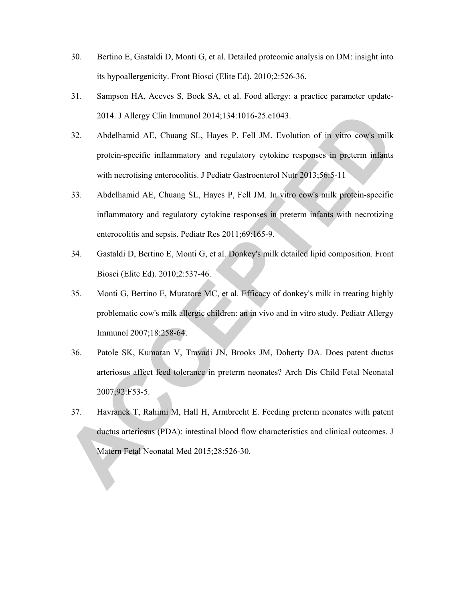- 30. Bertino E, Gastaldi D, Monti G, et al. Detailed proteomic analysis on DM: insight into its hypoallergenicity. Front Biosci (Elite Ed)*.* 2010;2:526-36.
- 31. Sampson HA, Aceves S, Bock SA, et al. Food allergy: a practice parameter update-2014. J Allergy Clin Immunol 2014;134:1016-25.e1043.
- 32. Abdelhamid AE, Chuang SL, Hayes P, Fell JM. Evolution of in vitro cow's milk protein-specific inflammatory and regulatory cytokine responses in preterm infants with necrotising enterocolitis. J Pediatr Gastroenterol Nutr 2013;56:5-11
- 33. Abdelhamid AE, Chuang SL, Hayes P, Fell JM. In vitro cow's milk protein-specific inflammatory and regulatory cytokine responses in preterm infants with necrotizing enterocolitis and sepsis. Pediatr Res 2011;69:165-9.
- 34. Gastaldi D, Bertino E, Monti G, et al. Donkey's milk detailed lipid composition. Front Biosci (Elite Ed)*.* 2010;2:537-46.
- 35. Monti G, Bertino E, Muratore MC, et al. Efficacy of donkey's milk in treating highly problematic cow's milk allergic children: an in vivo and in vitro study. Pediatr Allergy Immunol 2007;18:258-64.
- 36. Patole SK, Kumaran V, Travadi JN, Brooks JM, Doherty DA. Does patent ductus arteriosus affect feed tolerance in preterm neonates? Arch Dis Child Fetal Neonatal 2007;92:F53-5.
- 37. Havranek T, Rahimi M, Hall H, Armbrecht E. Feeding preterm neonates with patent ductus arteriosus (PDA): intestinal blood flow characteristics and clinical outcomes. J Matern Fetal Neonatal Med 2015;28:526-30.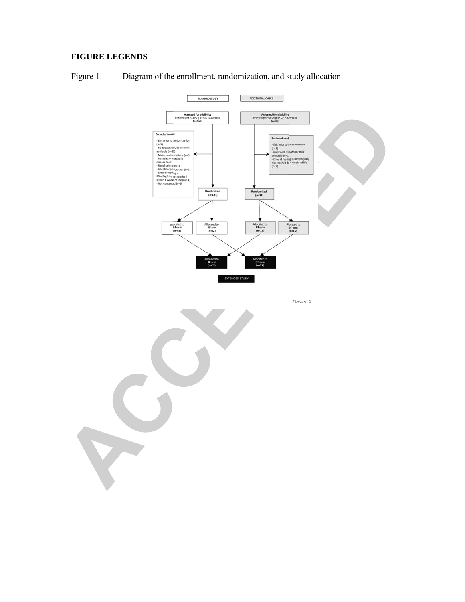# **FIGURE LEGENDS**



Figure 1. Diagram of the enrollment, randomization, and study allocation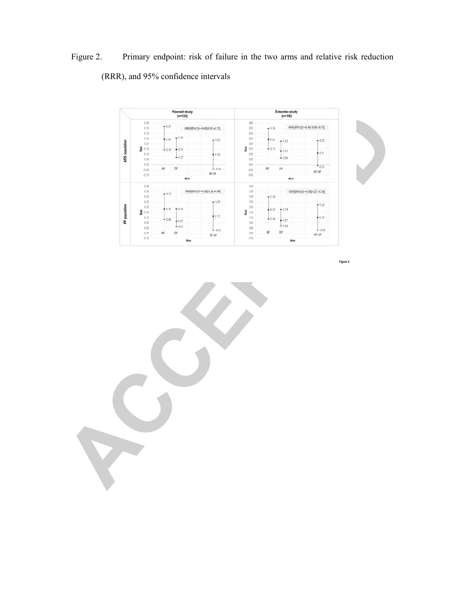Figure 2. Primary endpoint: risk of failure in the two arms and relative risk reduction (RRR), and 95% confidence intervals



Figure 2

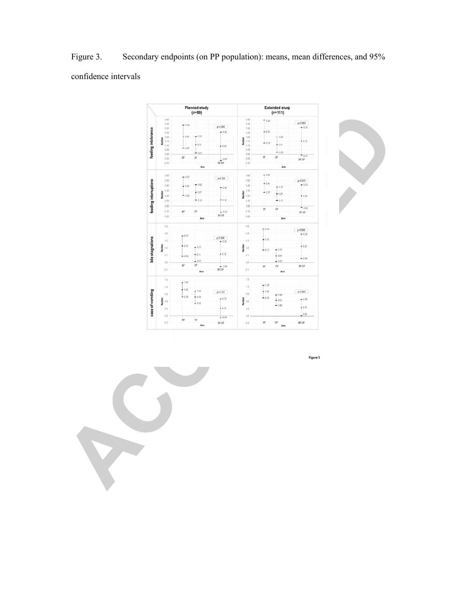Figure 3. Secondary endpoints (on PP population): means, mean differences, and 95% confidence intervals

|                       |                                    | Planned study<br>$(n=89)$                      |                      | <b>Extended study</b><br>$(n=111)$                        |                    |             |  |
|-----------------------|------------------------------------|------------------------------------------------|----------------------|-----------------------------------------------------------|--------------------|-------------|--|
|                       | 0.40                               |                                                |                      | 0.40                                                      | 7040               |             |  |
|                       | 0.35                               | $-0.34$                                        |                      | 0.35                                                      |                    | $p = 0.063$ |  |
|                       | 0.30                               |                                                | p=0.268              | 0.30                                                      |                    | $-0.31$     |  |
| feeding intolerance   | 0.25                               | $-0.26$<br>$+0.21$<br>$+0.20$<br><b>Number</b> |                      | 0.25                                                      | $+0.26$            |             |  |
|                       | 0.20                               |                                                | 0.20                 | $-0.20$                                                   |                    |             |  |
|                       | Number<br>6.15                     |                                                |                      | 0.15                                                      | $-0.13$            | $+0.15$     |  |
|                       | 0.95                               | $+0.11$<br>$+0.07$                             | $+0.09$              | 0.10                                                      | $+0.11$            |             |  |
|                       | 0.05                               |                                                |                      | 0.05                                                      | $-0.02$            |             |  |
|                       | 0.00                               | $-0.01$                                        |                      | 0.00                                                      | BF                 | $-0.01$     |  |
|                       | 405                                | BF<br>DF                                       | $-0.07$              | -0.05                                                     | DF                 | BF-DF       |  |
|                       | 4.93                               | BF-DF                                          |                      | $-0.10$                                                   |                    |             |  |
|                       |                                    | Am                                             |                      | Arm                                                       |                    |             |  |
|                       | 0.60<br>0.50                       | $-0.57$                                        |                      | 0.60                                                      | $-0.61$            |             |  |
|                       |                                    |                                                | p=0.324              | 0.50                                                      |                    | $p = 0.073$ |  |
|                       | 0.40                               | $-0.42$                                        |                      | 0.40<br>0.30<br>kumber<br>0.20<br>0.10<br>0.00<br>$-0.10$ | $+0.44$            | $-0.41$     |  |
|                       |                                    | $+0.39$                                        | $-0.36$              |                                                           | $-0.37$            |             |  |
| feeding interruptions | 0.30<br>š                          | $+0.27$                                        |                      |                                                           | $-0.27$<br>$+0.24$ |             |  |
|                       | 0.20                               | $+0.20$                                        |                      |                                                           |                    | $+0.20$     |  |
|                       | 0.10                               | $-0.12$                                        | $+0.12$              |                                                           | $-0.11$            |             |  |
|                       | 0.00                               |                                                |                      |                                                           | DF<br>BF           | $-0.02$     |  |
|                       | 4.93                               | BF<br>DF                                       | 10.12                |                                                           |                    | BF-DF       |  |
|                       | 420                                |                                                | BF-DF                | $-0.20$                                                   | Arm                |             |  |
|                       | Arm                                |                                                |                      |                                                           |                    |             |  |
|                       | 0.5                                |                                                |                      | 0.5                                                       | $-0.46$            | p=0.009     |  |
|                       | 0.4                                |                                                |                      | 0.4                                                       |                    | $-0.39$     |  |
|                       |                                    | $+0.37$                                        | $p=0.184$            |                                                           |                    |             |  |
| bile stagnations      | e3                                 |                                                | $-0.29$              | 0.3                                                       | $+0.32$            |             |  |
|                       | Number<br>0.2<br>0.1<br>0.0<br>4.1 | $+0.23$<br>$-0.21$                             |                      | Number<br>0.2                                             |                    | •022        |  |
|                       |                                    |                                                |                      |                                                           | $-0.17$<br>$-0.17$ |             |  |
|                       |                                    | $+0.11$<br>$-0.09$                             | $+0.12$              | 0.1                                                       | $+0.09$            |             |  |
|                       |                                    | $-0.01$                                        |                      |                                                           | 1001               | $-0.06$     |  |
|                       |                                    | DF<br>BF                                       |                      | 0.0                                                       | DF                 | BF-DF       |  |
|                       |                                    |                                                | $-0.06$<br>BF-DF     | $-0.1$                                                    | BF                 |             |  |
|                       |                                    | Arm                                            |                      | Arm                                                       |                    |             |  |
|                       | 1.5                                |                                                |                      | 1.5                                                       |                    |             |  |
|                       |                                    | $+1.40$                                        |                      |                                                           | $-126$             |             |  |
|                       | 12                                 | $+1.09$                                        |                      | 12                                                        |                    |             |  |
|                       | 0.9                                | $+1.04$                                        | p=0.127              | 0.9                                                       | $+1.00$<br>$-0.86$ | $p = 0.041$ |  |
|                       |                                    | $+0.78$<br>$+0.78$                             | $+0.72$              |                                                           | $-0.74$            | $-0.69$     |  |
|                       | Number<br>0.6                      | $-0.52$                                        | <b>Number</b><br>0.6 | $+0.65$                                                   |                    |             |  |
| case of vomiting      | 0.3                                |                                                | $+0.31$              | 0.3                                                       | $-0.43$            | $+0.35$     |  |
|                       |                                    |                                                |                      |                                                           |                    |             |  |
|                       | 0.0                                |                                                | 1.009                | 0.0                                                       |                    | 0.02        |  |
|                       | $-0.3$                             | BF<br>DF                                       | BF-DF                | $-0.3$                                                    | BF<br>DF           | BF-DF       |  |
|                       |                                    |                                                |                      |                                                           |                    |             |  |



Figure 3

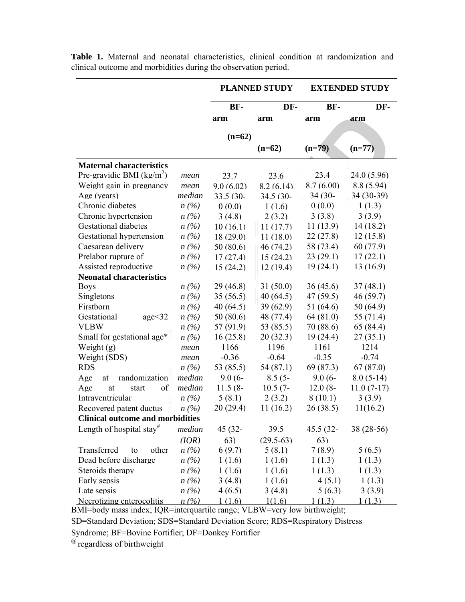|                                         |                               | <b>PLANNED STUDY</b> |             | <b>EXTENDED STUDY</b> |              |  |  |  |  |
|-----------------------------------------|-------------------------------|----------------------|-------------|-----------------------|--------------|--|--|--|--|
|                                         |                               | BF-                  | DF-         | BF-                   | DF-          |  |  |  |  |
|                                         |                               | arm                  | arm         | arm                   | arm          |  |  |  |  |
|                                         |                               |                      |             |                       |              |  |  |  |  |
|                                         |                               | $(n=62)$             | $(n=62)$    | $(n=79)$              | $(n=77)$     |  |  |  |  |
| <b>Maternal characteristics</b>         |                               |                      |             |                       |              |  |  |  |  |
| Pre-gravidic BMI ( $kg/m2$ )            | mean                          | 23.7                 | 23.6        | 23.4                  | 24.0 (5.96)  |  |  |  |  |
| Weight gain in pregnancy                | mean                          | 9.0(6.02)            | 8.2(6.14)   | 8.7(6.00)             | 8.8(5.94)    |  |  |  |  |
| Age (years)                             | median                        | 33.5 (30-            | 34.5 (30-   | $34(30 -$             | 34 (30-39)   |  |  |  |  |
| Chronic diabetes                        | $n\left(\frac{\%}{\%}\right)$ | 0(0.0)               | 1(1.6)      | 0(0.0)                | 1(1.3)       |  |  |  |  |
| Chronic hypertension                    | $n\left(\frac{\%}{\%}\right)$ | 3(4.8)               | 2(3.2)      | 3(3.8)                | 3(3.9)       |  |  |  |  |
| <b>Gestational diabetes</b>             | $n(\%)$                       | 10(16.1)             | 11(17.7)    | 11(13.9)              | 14(18.2)     |  |  |  |  |
| Gestational hypertension                | $n(\%)$                       | 18(29.0)             | 11(18.0)    | 22(27.8)              | 12(15.8)     |  |  |  |  |
| Caesarean delivery                      | $n\left(\frac{\%}{\%}\right)$ | 50 (80.6)            | 46(74.2)    | 58 (73.4)             | 60 (77.9)    |  |  |  |  |
| Prelabor rupture of                     | $n\left(\frac{\%}{\%}\right)$ | 17(27.4)             | 15(24.2)    | 23(29.1)              | 17(22.1)     |  |  |  |  |
| Assisted reproductive                   | $n\left(\frac{\%}{\%}\right)$ | 15(24.2)             | 12(19.4)    | 19(24.1)              | 13(16.9)     |  |  |  |  |
| <b>Neonatal characteristics</b>         |                               |                      |             |                       |              |  |  |  |  |
| <b>Boys</b>                             | n(%)                          | 29(46.8)             | 31(50.0)    | 36(45.6)              | 37(48.1)     |  |  |  |  |
| Singletons                              | n(%)                          | 35(56.5)             | 40(64.5)    | 47(59.5)              | 46(59.7)     |  |  |  |  |
| Firstborn                               | n(%)                          | 40(64.5)             | 39(62.9)    | 51 $(64.6)$           | 50(64.9)     |  |  |  |  |
| Gestational<br>age<32                   | $n(\%)$                       | 50(80.6)             | 48 (77.4)   | 64(81.0)              | 55 (71.4)    |  |  |  |  |
| <b>VLBW</b>                             | n(%)                          | 57 (91.9)            | 53 (85.5)   | 70 (88.6)             | 65 (84.4)    |  |  |  |  |
| Small for gestational age*              | $n(\%)$                       | 16(25.8)             | 20(32.3)    | 19(24.4)              | 27(35.1)     |  |  |  |  |
| Weight $(g)$                            | mean                          | 1166                 | 1196        | 1161                  | 1214         |  |  |  |  |
| Weight (SDS)                            | mean                          | $-0.36$              | $-0.64$     | $-0.35$               | $-0.74$      |  |  |  |  |
| <b>RDS</b>                              | n(%)                          | 53 (85.5)            | 54 (87.1)   | 69 (87.3)             | 67(87.0)     |  |  |  |  |
| Age<br>randomization<br>at              | median                        | $9.0(6 -$            | $8.5(5 -$   | $9.0(6 -$             | $8.0(5-14)$  |  |  |  |  |
| Age<br>at<br>start<br>of                | median                        | $11.5(8 -$           | $10.5(7 -$  | $12.0(8 -$            | $11.0(7-17)$ |  |  |  |  |
| Intraventricular                        | n(%)                          | 5(8.1)               | 2(3.2)      | 8(10.1)               | 3(3.9)       |  |  |  |  |
| Recovered patent ductus                 | $n(\%)$                       | 20(29.4)             | 11(16.2)    | 26(38.5)              | 11(16.2)     |  |  |  |  |
| <b>Clinical outcome and morbidities</b> |                               |                      |             |                       |              |  |  |  |  |
| Length of hospital stay <sup>#</sup>    | median                        | 45 (32-              | 39.5        | 45.5 (32-             | 38 (28-56)   |  |  |  |  |
|                                         | (IOR)                         | 63)                  | $(29.5-63)$ | 63)                   |              |  |  |  |  |
| Transferred<br>other<br>to              | n(%)                          | 6(9.7)               | 5(8.1)      | 7(8.9)                | 5(6.5)       |  |  |  |  |
| Dead before discharge                   | n(%)                          | 1(1.6)               | 1(1.6)      | 1(1.3)                | 1(1.3)       |  |  |  |  |
| Steroids therapy                        | n(%)                          | 1(1.6)               | 1(1.6)      | 1(1.3)                | 1(1.3)       |  |  |  |  |
| Early sepsis                            | n(%)                          | 3(4.8)               | 1(1.6)      | 4(5.1)                | 1(1.3)       |  |  |  |  |
| Late sepsis                             | $n(\%)$                       | 4(6.5)               | 3(4.8)      | 5(6.3)                | 3(3.9)       |  |  |  |  |
| Necrotizing enterocolitis               | n(%)                          | 1(1.6)               | 1(1.6)      | 1(1.3)                | 1(1.3)       |  |  |  |  |

**Table 1.** Maternal and neonatal characteristics, clinical condition at randomization and clinical outcome and morbidities during the observation period.

BMI=body mass index; IQR=interquartile range; VLBW=very low birthweight;

SD=Standard Deviation; SDS=Standard Deviation Score; RDS=Respiratory Distress

Syndrome; BF=Bovine Fortifier; DF=Donkey Fortifier

 $\mathscr{L}$  regardless of birthweight